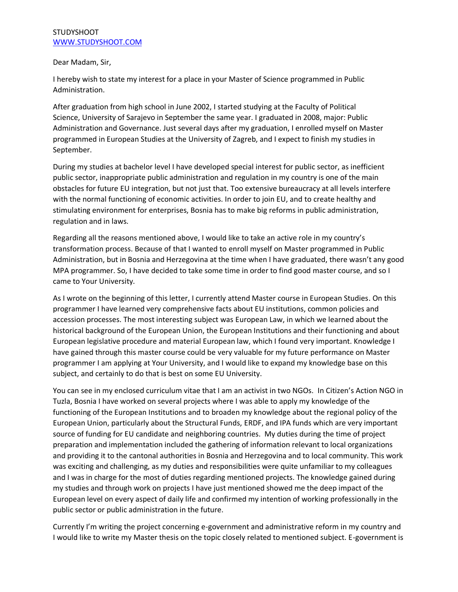## **STUDYSHOOT** [WWW.STUDYSHOOT.COM](http://www.studyshoot.com/)

## Dear Madam, Sir,

I hereby wish to state my interest for a place in your Master of Science programmed in Public Administration.

After graduation from high school in June 2002, I started studying at the Faculty of Political Science, University of Sarajevo in September the same year. I graduated in 2008, major: Public Administration and Governance. Just several days after my graduation, I enrolled myself on Master programmed in European Studies at the University of Zagreb, and I expect to finish my studies in September.

During my studies at bachelor level I have developed special interest for public sector, as inefficient public sector, inappropriate public administration and regulation in my country is one of the main obstacles for future EU integration, but not just that. Too extensive bureaucracy at all levels interfere with the normal functioning of economic activities. In order to join EU, and to create healthy and stimulating environment for enterprises, Bosnia has to make big reforms in public administration, regulation and in laws.

Regarding all the reasons mentioned above, I would like to take an active role in my country's transformation process. Because of that I wanted to enroll myself on Master programmed in Public Administration, but in Bosnia and Herzegovina at the time when I have graduated, there wasn't any good MPA programmer. So, I have decided to take some time in order to find good master course, and so I came to Your University.

As I wrote on the beginning of this letter, I currently attend Master course in European Studies. On this programmer I have learned very comprehensive facts about EU institutions, common policies and accession processes. The most interesting subject was European Law, in which we learned about the historical background of the European Union, the European Institutions and their functioning and about European legislative procedure and material European law, which I found very important. Knowledge I have gained through this master course could be very valuable for my future performance on Master programmer I am applying at Your University, and I would like to expand my knowledge base on this subject, and certainly to do that is best on some EU University.

You can see in my enclosed curriculum vitae that I am an activist in two NGOs. In Citizen's Action NGO in Tuzla, Bosnia I have worked on several projects where I was able to apply my knowledge of the functioning of the European Institutions and to broaden my knowledge about the regional policy of the European Union, particularly about the Structural Funds, ERDF, and IPA funds which are very important source of funding for EU candidate and neighboring countries. My duties during the time of project preparation and implementation included the gathering of information relevant to local organizations and providing it to the cantonal authorities in Bosnia and Herzegovina and to local community. This work was exciting and challenging, as my duties and responsibilities were quite unfamiliar to my colleagues and I was in charge for the most of duties regarding mentioned projects. The knowledge gained during my studies and through work on projects I have just mentioned showed me the deep impact of the European level on every aspect of daily life and confirmed my intention of working professionally in the public sector or public administration in the future.

Currently I'm writing the project concerning e-government and administrative reform in my country and I would like to write my Master thesis on the topic closely related to mentioned subject. E-government is